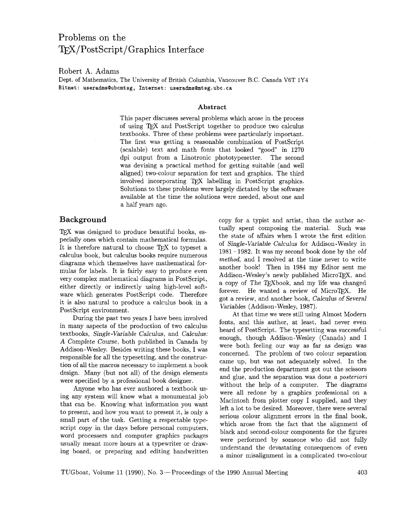# Problems on the ~/PostScript/Graphics Interface

### Robert **A.** Adams

Dept. of Mathematics, The University of British Columbia, Vancouver B.C. Canada V6T 1Y4 **Bitnet: useradmsQubcmtsg, Internet: useradms0mtsg.ubc.ca** 

### **Abstract**

This paper discusses several problems which arose in the process of using TFX and PostScript together to produce two calculus textbooks. Three of these problems were particularly important. The first was getting a reasonable combination of PostScript  $(scalable)$  text and math fonts that looked "good" in 1270 dpi output from a Linotronic phototypesetter. The second was devising a practical method for getting suitable (and well aligned) two-colour separation for text and graphics. The third involved incorporating TFX labelling in PostScript graphics. Solutions to these problems were largely dictated by the software available at the time the solutions were needed, about one and a half years ago.

TFX was designed to produce beautiful books, especially ones which contain mathematical formulas. It is therefore natural to choose TFX to typeset a calculus book, but calculus books require numerous diagrams which themselves have mathematical formulas for labels. It is fairly easy to produce even very complex mathematical diagrams in PostScript, either directly or indirectly using high-level software which generates PostScript code. Therefore it is also natural to produce a calculus book in a PostScript environment.

During the past two years I have been involved in many aspects of the production of two calculus textbooks, Single-Variable Calculus, and Calculus: **A** Complete Course, both published in Canada by Addison-Wesley. Besides writing these books, I was responsible for all the typesetting, and the construction of all the macros necessary to implement a book design. Many (but not all) of the design elements were specified by a professional book designer.

Anyone who has ever authored a textbook using any system will know what a monumental job that can be. Knowing what information you want to present, and how you want to present it, is only a small part of the task. Getting a respectable typescript copy in the days before personal computers, word processers and computer graphics packages usually meant more hours at a typewriter or drawing board, or preparing and editing handwritten

**Background copy** for a typist and artist, than the author actually spent composing the material. Such was the state of affairs when I wrote the first edition of Single-Variable Calculus for Addison-Wesley in 1981-1982. It was my second book done by the  $old$ method, and I resolved at the time never to write another book! Then in 1984 my Editor sent me Addison-Wesley's newly published MicroTFX, and a copy of The TEXbook, and my life was changed forever. He wanted a review of MicroTFX. He got a review, and another book, Calculus of Several Variables (Addison- Wesley, 1987).

> At that time we were still using Almost Modern fonts, and this author, at least, had never even heard of PostScript. The typesetting was successful enough, though Addison-Wesley (Canada) and I were both feeling our way as far as design was concerned. The problem of two colour separation came up, but was not adequately solved. In the end the production department got out the scissors and glue, and the separation was done a posteriori without the help of a computer. The diagrams were all redone by a graphics professional on a Macintosh from plotter copy I supplied, and they left a lot to be desired. Moreover, there were several serious colour alignment errors in the final book, which arose from the fact that the alignment of black and second-colour components for the figures were performed by someone who did not fully understand the devastating consequences of even a minor misalignment in a complicated two-colour

TUGboat, Volume 11 (1990), No. 3-Proceedings of the 1990 Annual Meeting **403**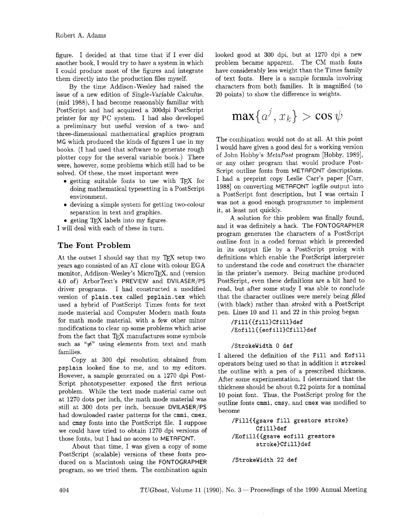figure. I decided at that time that if I ever did another book, I would try to have a system in which I could produce most of the figures and integrate them directly into the production files myself.

By the time Addison-Wesley had raised the issue of a new edition of Single-Variable Calculus, (mid 1988), I had become reasonably familiar with PostScript and had acquired a 300dpi PostScript printer for my PC system. I had also developed a preliminary but useful version of a two- and three-dimensional mathematical graphics program **MG** which produced the kinds of figures I use in my books. (I had used that software to generate rough plotter copy for the several variable book.) There were, however, some problems which still had to be solved. Of these, the most important were

- getting suitable fonts to use with TEX for doing mathematical typesetting in a PostScript environment.
- **0** devising a simple system for getting two-colour separation in text and graphics.
- geting T<sub>F</sub>X labels into my figures.

I will deal with each of these in turn.

## The Font Problem

At the outset I should say that my TFX setup two years ago consisted of an AT clone with colour EGA monitor, Addison-Wesley's MicroTFX, and (version 4.0 of) ArborText's **PREVIEW** and **DVILASER/PS**  driver programs. I had constructed a modified version of plain.tex called psplain.tex which used a hybrid of PostScript Times fonts for text mode material and Computer Modern math fonts for math mode material, with a few other minor modifications to clear up some problems which arise from the fact that TFX manufactures some symbols such as " $\neq$ " using elements from text and math families.

Copy at 300 dpi resolution obtained from psplain looked fine to me, and to my editors. However, a sample generated on a 1270 dpi Post-Script phototypesetter exposed the first serious problem. While the text mode material came out at 1270 dots per inch, the math mode material was still at 300 dots per inch, because **DVILASER/PS**  had downloaded raster patterns for the cmmi, cmex, and cmsy fonts into the PostScript file. I suppose we could have tried to obtain 1270 dpi versions of those fonts, but I had no access to METAFONT.

About that time, I was given a copy of some PostScript (scalable) versions of these fonts produced on a Macintosh using the **FONTOGRAPHER**  program, so we tried them. The combination again looked good at 300 dpi, but at 1270 dpi a new problem became apparent. The CM math fonts have considerably less weight than the Times family of text fonts. Here is a sample formula involving characters from both families. It is magnified (to 20 points) to show the difference in weights.

$$
\max\{a^j,x_k\} > \cos\psi
$$

The combination would not do at all. At this point I would have given a good deal for a working version of John Hobby's *MetaPost* program [Hobby, 1989], or any other program that would produce Post-Script outline fonts from METAFONT descriptions. I had a preprint copy Leslie Carr's paper [Carr, 1988] on converting METAFONT logfile output into a PostScript font description, but I was certain I was not a good enough programmer to implement it, at least not quickly.

A solution for this problem was finally found, and it was definitely a hack. The **FONTOGRAPHER**  program generates the characters of a PostScript outline font in a coded format which is preceeded in its output file by a PostScript prolog with definitions which enable the PostScript interpreter to understand the code and construct the character in the printer's memory. Being machine produced PostScript, even these definitions are a bit hard to read, but after some study I was able to conclude that the character outlines were merely being *filled*  (with black) rather than *stroked* with a PostScript pen. Lines 10 and 11 and 22 in this prolog began

#### /Fill{{fill}Cfill}def /Eofill{{eofill}Cfill}def

#### /Strokewidth **0** def

I altered the definition of the Fill and Eofill operators being used so that in addition it stroked the outline with a pen of a prescribed thickness. After some experimentation, I determined that the thickness should be about 0.22 points for a nominal 10 point font. Thus, the Postscript prolog for the outline fonts cmmi, cmsy, and cmex was modified to become

/Fill{{gsave fill grestore stroke} Cf i1l)def /Eofill((gsave eofill grestore stroke3Cfill)def

/Strokewidth 22 def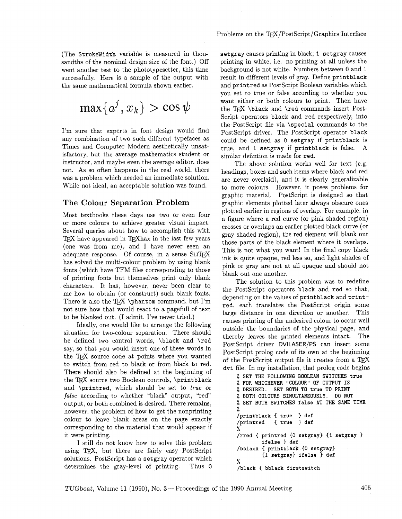(The Strokewidth variable is measured in thousandths of the nominal design size of the font.) Off went another test to the phototypesetter, this time successfully. Here is a sample of the output with the same mathematical formula shown earlier.

$$
\max\{a^j,x_k\} > \cos\psi
$$

I'm sure that experts in font design would find any combination of two such different typefaces as Times and Computer Modern aesthetically unsatisfactory, but the average mathematics student or instructor, and maybe even the average editor, does not. As so often happens in the real world, there was a problem which needed an immediate solution. While not ideal, an acceptable solution was found.

## The Colour Separation Problem

Most textbooks these days use two or even four or more colours to achieve greater visual impact. Several queries about how to accomplish this with TEX have appeared in TEX hax in the last few years (one was from me), and I have never seen an adequate response. Of course, in a sense SLITFX has solved the multi-colour problem by using blank fonts (which have TFM files corresponding to those of printing fonts but themselves print only blank characters. It has, however, never been clear to me how to obtain (or construct) such blank fonts. There is also the TFX \phantom command, but I'm not sure how that would react to a pagefull of text to be blanked out. (I admit, I've never tried.)

Ideally, one would like to arrange the following situation for two-colour separation. There should be defined two control words, \black and \red say, so that you would insert one of these words in the TFX source code at points where you wanted to switch from red to black or from black to red. There should also be defined at the beginning of the TEX source two Boolean controls, \printblack and \printred, which should be set to true or **false** according to whether "black" output, "red" output, or both combined is desired. There remains, however, the problem of how to get the nonprinting colour to leave blank areas on the page exactly corresponding to the material that would appear if it were printing.

I still do not know how to solve this problem using TEX, but there are fairly easy PostScript solutions. PostScript has a setgray operator which determines the gray-level of printing. Thus 0

setgray causes printing in black; I setgray causes printing in white, i.e. no printing at all unless the background is not white. Numbers between 0 and 1 result in different levels of gray. Define printblack and printred as PostScript Boolean variables which you set to true or false according to whether you want either or both colours to print. Then have the T<sub>F</sub>X \black and \red commands insert Post-Script operators black and red respectively, into the PostScript file via \special commands to the PostScript driver. The PostScript operator black could be defined as 0 setgray if printblack is true, and I setgray if printblack is false. A similar defintion is made for red.

The above solution works well for text (e.g. headings, boxes and such items where black and red are never overlaid), and it is clearly generalizable to more colours. However, it poses problems for graphic material. PostScript is designed so that graphic elements plotted later always obscure ones plotted earlier in regions of overlap. For example, in a figure where a red curve (or pink shaded region) crosses or overlaps an earlier plotted black curve (or gray shaded region), the red element will blank out those parts of the black element where it overlaps. This is not what you want! In the final copy black ink is quite opaque, red less so, and light shades of pink or gray are not at all opaque and should not blank out one another.

The solution to this problem was to redefine the PostScript operators black and red so that, depending on the values of printblack and printred, each translates the PostScript origin some large distance in one direction or another. This causes printing of the undesired colour to occur well outside the boundaries of the physical page, and thereby leaves the printed elements intact. The PostScript driver **DVILASER/PS** can insert some PostScript prolog code of its own at the beginning of the PostScript output file it creates from a TEX dvi file. In my installation, that prolog code begins

```
% SET THE FOLLOWING BOOLEAN SWITCHES true 
% FOR WHICHEVER "COLOUR" OF OUTPUT IS 
% DESIRED. SET BOTH TO true TO PRINT 
% BOTH COLOURS SIMULTANEOUSLY. DO NOT 
% SET BOTH SWITCHES false AT THE SAME TIME 
% 
/printblack { true 3 def 
           { true } def
% 
/rred { printred {O setgray) (1 setgray 
        ifelse ) def 
/bblack { printblack (0 setgray) 
        {1 setgray) ifelse ) def 
% 
/black { bblack firstswitch
```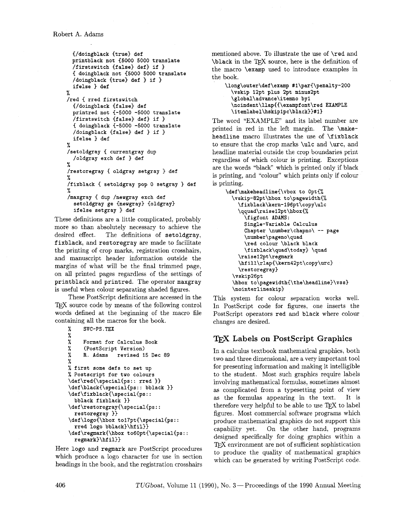```
{/doingblack {true) def 
 printblack not {5000 5000 translate 
  /firstswitch {false} def} if }{ doingblack not {5000 5000 translate 
  /doingblack {true) def ) if 1
  ifelse ) def 
% 
/red { rred firstswitch 
  {/doingblack {false) def 
  printred not {-5000 -5000 translate 
  /firstswitch {false) def) if ) 
  { doingblack (-5000 -5000 translate 
  /doingblack (false) def ) if ) 
  ifelse ) def 
% 
/setoldgray { currentgray dup 
  /oldgray exch def ) def 
% 
/restoregray { oldgray setgray } def
% 
/fixblack { setoldgray pop 0 setgray ) def 
% 
/maxgray { dup /newgray exch def
  setoldgray ge {newgray) {oldgray) 
  ifelse setgray ) def
```
These definitions are a little complicated, probably more so than absolutely necessary to achieve the desired effect. The definitions of setoldgray, The definitions of setoldgray, fixblack, and restoregray are made to facilitate the printing of crop marks, registration crosshairs, and manuscript header information outside the margins of what will be the final trimmed page, on all printed pages regardless of the settings of printblack and printred. The operator maxgray is useful when colour separating shaded figures.

These PostScript definitions are accessed in the T<sub>EX</sub> source code by means of the following control words defined at the beginning of the macro file containing all the macros for the book.

```
% SVC-PS.TEX 
\frac{\gamma}{\gamma}Format for Calculus Book
% (Postscript Version) 
     R. Adams revised 15 Dec 89
% 
% first some defs to set up 
% Postscript for two colours
\def\red(\special{ps:: rred )) 
\def\black(\special{ps:: bblack 1) 
\def\fixblack{\special(ps:: 
  bblack fixblack )) 
\def \restoregray(\special{ps: : 
  restoregray )) 
\def\logo{\hbox tol7pt(\special(ps:: 
  rred logo bblack)\hfil)) 
\def\regmark(\hbox to60pt(\special{ps:: 
  regmark)\hfil))
```
Here logo and regmark are PostScript procedures which produce a logo character for use in section headings in the book, and the registration crosshairs mentioned above. To illustrate the use of \red and \black in the TFX source, here is the definition of the macro \examp used to introduce examples in the book.

```
\long\outer\def\examp #l\par{\penalty-200 
  \vskip 12pt plus 2pt minus2pt 
  \global\advance\itemno by1 
  \noindent \llap{{\exampf ont \red EXAMPLE 
  \itemlabel\hskiplpc\black))#1)
```
The word "EXAMPLE" and its label number are printed in red in the left margin. The \makeheadline macro illustrates the use of **\fixblack** to ensure that the crop marks \ulc and \urc, and headline material outside the crop boundaries print regardless of which colour is printing. Exceptions are the words "black" which is printed only if black is printing, and "colour" which prints only if colour is printing.

```
\def\makeheadline(\vbox to Opt{% 
  \vskip-82pt\hbox to\pagewidthI% 
    \fixblack\kern-196pt\copy\ulc 
    \qquad\raise12pt\hbox(% 
      \figfont ADAMS: 
      Single-Variable Calculus 
      chapter \number\chapno\ -- page 
      \number\pageno\quad 
      \red colour \black black 
      \fixblack\quad\today) \quad 
    \raise12pt\regmark 
    \hfill\rlap{\kern42pt\copy\urd 
    \restoregray) 
  \vskip26pt 
  \hbox to\pagewidthI\the\headline)\vss) 
  \nointerlineskip)
```
This system for colour separation works well. In PostScript code for figures, one inserts the PostScript operators red and black where colour changes are desired.

## **Labels on PostScript Graphics**

In a calculus textbook mathematical graphics, both two and three dimensional, are a very important tool for presenting information and making it intelligible to the student. Most such graphics require labels involving mathematical formulas, sometimes almost as complicated from a typesetting point of view as the formulas appearing in the text. It is therefore very helpful to be able to use TEX to label figures. Most commercial software programs which produce mathematical graphics do not support this capability yet. On the other hand, programs designed specifically for doing graphics within a TEX environment are not of sufficient sophistication to produce the quality of mathematical graphics which can be generated by writing PostScript code.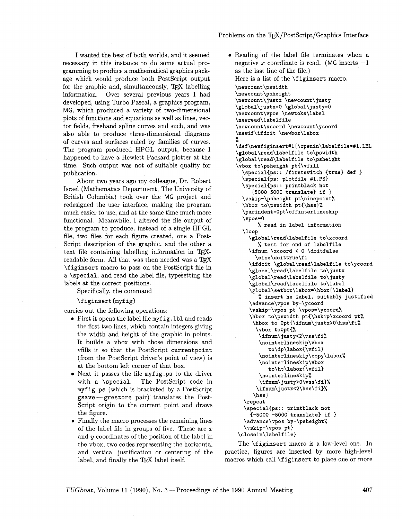I wanted the best of both worlds, and it seemed necessary in this instance to do some actual programming to produce a mathematical graphics package which would produce both PostScript output for the graphic and, simultaneously,  $TFX$  labelling information. Over several previous years I had developed, using Turbo Pascal, a graphics program, MG, which produced a variety of two-dimensional plots of functions and equations as well as lines, vector fields, freehand spline curves and such, and was also able to produce three-dimensional diagrams of curves and surfaces ruled by families of curves. The program produced HPGL output, because I happened to have a Hewlett Packard plotter at the time. Such output was not of suitable quality for publication.

About two years ago my colleague, Dr. Robert Israel (Mathematics Department, The University of British Columbia) took over the MG project and redesigned the user interface, making the program much easier to use, and at the same time much more functional. Meanwhile, I altered the file output of the program to produce, instead of a single HPGL file, two files for each figure created, one a Post-Script description of the graphic, and the other a text file containing labelling information in TFXreadable form. All that was then needed was a TFX \f iginsert macro to pass on the PostScript file in a \special, and read the label file, typesetting the labels at the correct positions.

Specifically, the command

### \figinsert(myfig)

carries out the following operations:

- First it opens the label file myf ig . **lbl** and reads the first two lines, which contain integers giving the width and height of the graphic in points. It builds a vbox with those dimensions and vfills it so that the PostScript currentpoint (from the PostScript driver's point of view) is at the bottom left corner of that box.
- Next it passes the file myfig.ps to the driver with a \special. The PostScript code in myf ig.ps (which is bracketed by a PostScript  $g$ save -  $g$ restore pair) translates the Post-Script origin to the current point and draws the figure.
- Finally the macro processes the remaining lines of the label file in groups of five. These are  $x$ and y coordinates of the position of the label in the vbox, two codes representing the horizontal and vertical justification or centering of the label, and finally the TFX label itself.
- 0 Reading of the label file terminates when a negative x coordinate is read. (MG inserts  $-1$ as the last line of the file.) Here is a list of the *\figinsert* macro. **\newcount\pswidth \newcount\psheight \newcount\justx \newcount\ justy \global\justx=O \global\justy=O \newcount\vpos \newtoks\label \newread\labelfile \newcount\xcoord \newcount\ycoord \newif\ifdoit \newbox\labox**  % **\def\newfiginsert#l{\openin\labelfile=#l.LBL \global\read\labelfile to\pswidth \global\read\labelfile to\psheight \vbox to\psheight pt{\vfill \special{ps:** : **/f irstswitch {true} def** ) **\special{ps: plotfile #i.PS) \special{&i** : :- **printblack not C5000 5000 translate} if 3 \vskip-\psheight pt\ninepoint% \hbox to\pswidth pt{\hss}% \parindent=Opt\offinterlineskip \vpos=o**  % **read in label information \loop \global\read\labelfile to\xcoord**  % **test for end of labelfile \ifnum \xcoord** < **0 \doitfalse \else\doittrue\fi \ifdoit \global\read\labelfile to\ycoord \global\read\labelfile to\justx \global\read\labelfile to\justy \global\read\labelfile to\label \global\setbox\labox=\hbox{\label~**  % **insert he label, suitably justified \advance\vpos by-\ycoord \vskip-\vpos pt \vpos=\ycoord% \hbox to\pswidth pt{\hskip\xcoord pt%**  \hbox to Opt{\ifnum\justx>O\hss\fi% **\vbox toopt{% \ifnum\justy<2\vss\fi% \nointerlineskip\vbox to\dp\labox{\vfil) \nointerlineskip\copy\labox% \nointerlineskip\vbox to\ht\labox{\vfil) \nointerlineskip% \ifnum\justy>O\vss\fi)% \ifnum\justx<2\hss\fi)% \hssl \repeat \special(ps:** : **printblack not {-5000 -5000 translate} if 3 \advance\vpos by-\psheight% \vskip-\vpos pt} \closein\labelfile}**

The \figinsert macro is a low-level one. In practice, figures are inserted by more high-level macros which call \f iginsert to place one or more